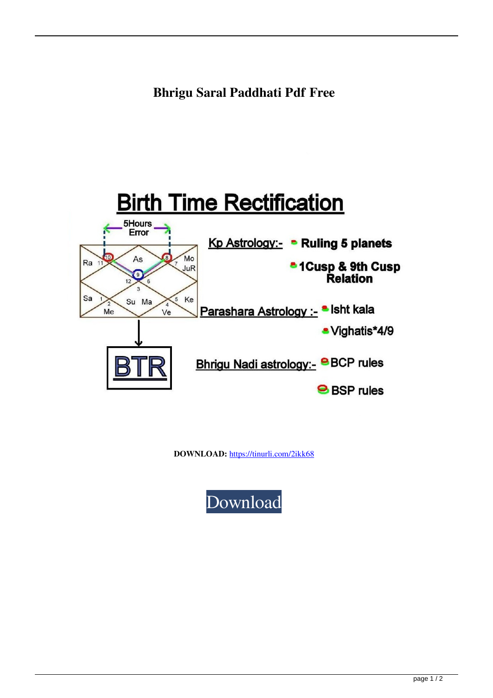

**DOWNLOAD:** <https://tinurli.com/2ikk68>